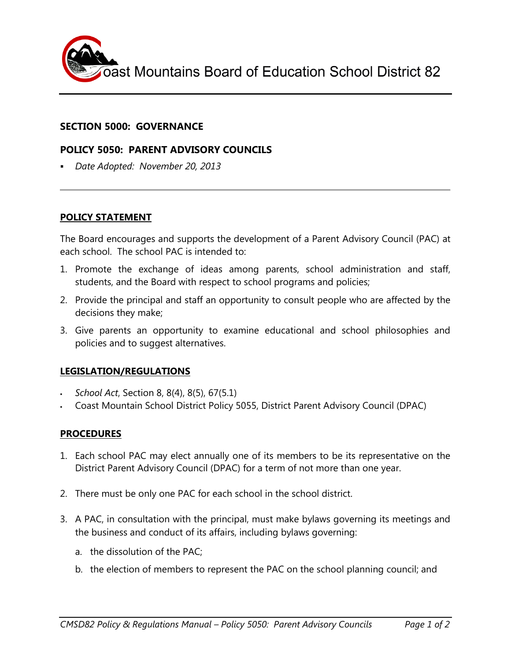

### **SECTION 5000: GOVERNANCE**

## **POLICY 5050: PARENT ADVISORY COUNCILS**

*Date Adopted: November 20, 2013*

# **POLICY STATEMENT**

The Board encourages and supports the development of a Parent Advisory Council (PAC) at each school. The school PAC is intended to:

- 1. Promote the exchange of ideas among parents, school administration and staff, students, and the Board with respect to school programs and policies;
- 2. Provide the principal and staff an opportunity to consult people who are affected by the decisions they make;
- 3. Give parents an opportunity to examine educational and school philosophies and policies and to suggest alternatives.

### **LEGISLATION/REGULATIONS**

- *School Act*, Section 8, 8(4), 8(5), 67(5.1)
- Coast Mountain School District Policy 5055, District Parent Advisory Council (DPAC)

### **PROCEDURES**

- 1. Each school PAC may elect annually one of its members to be its representative on the District Parent Advisory Council (DPAC) for a term of not more than one year.
- 2. There must be only one PAC for each school in the school district.
- 3. A PAC, in consultation with the principal, must make bylaws governing its meetings and the business and conduct of its affairs, including bylaws governing:
	- a. the dissolution of the PAC;
	- b. the election of members to represent the PAC on the school planning council; and